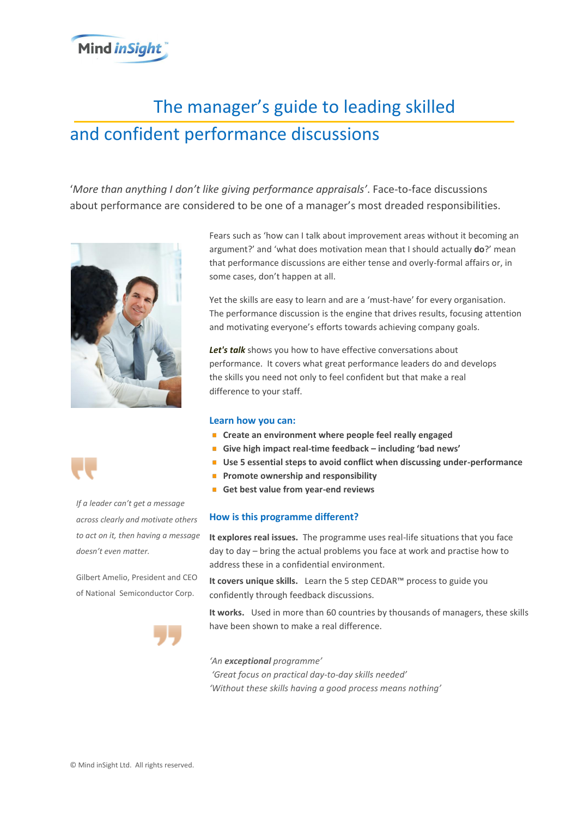# **Mind inSight**

# *Let's talk.* The manager's guide to leading skilled and confident performance discussions

'*More than anything I don't like giving performance appraisals'*. Face-to-face discussions about performance are considered to be one of a manager's most dreaded responsibilities.





*If a leader can't get a message across clearly and motivate others to act on it, then having a message doesn't even matter.* 

Gilbert Amelio, President and CEO of National Semiconductor Corp.



Fears such as 'how can I talk about improvement areas without it becoming an argument?' and 'what does motivation mean that I should actually **do**?' mean that performance discussions are either tense and overly-formal affairs or, in some cases, don't happen at all.

Yet the skills are easy to learn and are a 'must-have' for every organisation. The performance discussion is the engine that drives results, focusing attention and motivating everyone's efforts towards achieving company goals.

*Let's talk* shows you how to have effective conversations about performance. It covers what great performance leaders do and develops the skills you need not only to feel confident but that make a real difference to your staff.

#### **Learn how you can:**

- **EXP** Create an environment where people feel really engaged
- **Give high impact real-time feedback – including 'bad news'**
- **Use 5 essential steps to avoid conflict when discussing under-performance**
- **Promote ownership and responsibility**
- **Get best value from year-end reviews**

### **How is this programme different?**

address these in a confidential environment. **It explores real issues.** The programme uses real-life situations that you face day to day – bring the actual problems you face at work and practise how to

**It covers unique skills.** Learn the 5 step CEDAR™ process to guide you confidently through feedback discussions.

**It works.** Used in more than 60 countries by thousands of managers, these skills have been shown to make a real difference.

*'An exceptional programme' 'Great focus on practical day-to-day skills needed' 'Without these skills having a good process means nothing'*